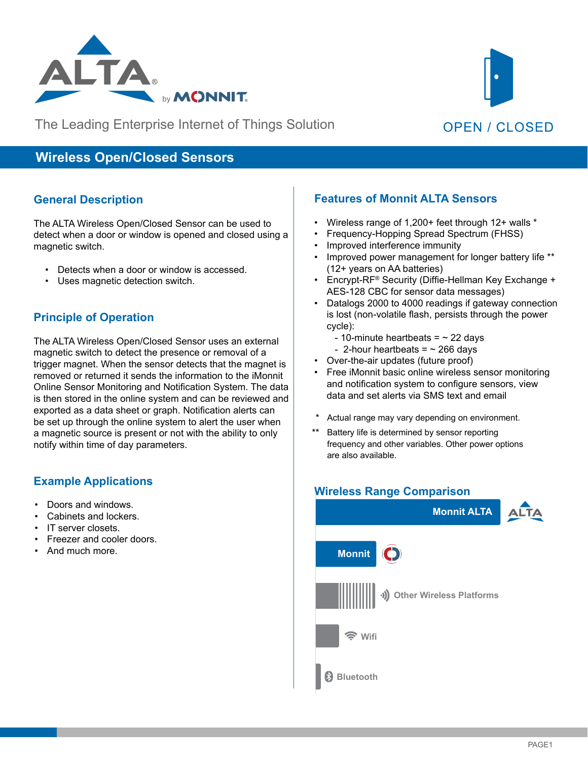

The Leading Enterprise Internet of Things Solution



# **Wireless Open/Closed Sensors**

#### **General Description**

The ALTA Wireless Open/Closed Sensor can be used to detect when a door or window is opened and closed using a magnetic switch.

- Detects when a door or window is accessed.
- Uses magnetic detection switch.

# **Principle of Operation**

The ALTA Wireless Open/Closed Sensor uses an external magnetic switch to detect the presence or removal of a trigger magnet. When the sensor detects that the magnet is removed or returned it sends the information to the iMonnit Online Sensor Monitoring and Notification System. The data is then stored in the online system and can be reviewed and exported as a data sheet or graph. Notification alerts can be set up through the online system to alert the user when a magnetic source is present or not with the ability to only notify within time of day parameters.

#### **Example Applications**

- Doors and windows.
- Cabinets and lockers.
- IT server closets.
- Freezer and cooler doors.
- And much more.

### **Features of Monnit ALTA Sensors**

- Wireless range of 1,200+ feet through 12+ walls \*
- Frequency-Hopping Spread Spectrum (FHSS)
- Improved interference immunity
- Improved power management for longer battery life \*\* (12+ years on AA batteries)
- Encrypt-RF® Security (Diffie-Hellman Key Exchange + AES-128 CBC for sensor data messages)
- Datalogs 2000 to 4000 readings if gateway connection is lost (non-volatile flash, persists through the power cycle):
	- 10-minute heartbeats =  $\sim$  22 days
- 2-hour heartbeats =  $\sim$  266 days
- Over-the-air updates (future proof)
- Free iMonnit basic online wireless sensor monitoring and notification system to configure sensors, view data and set alerts via SMS text and email
- Ĵ Actual range may vary depending on environment.
- Battery life is determined by sensor reporting frequency and other variables. Other power options are also available.

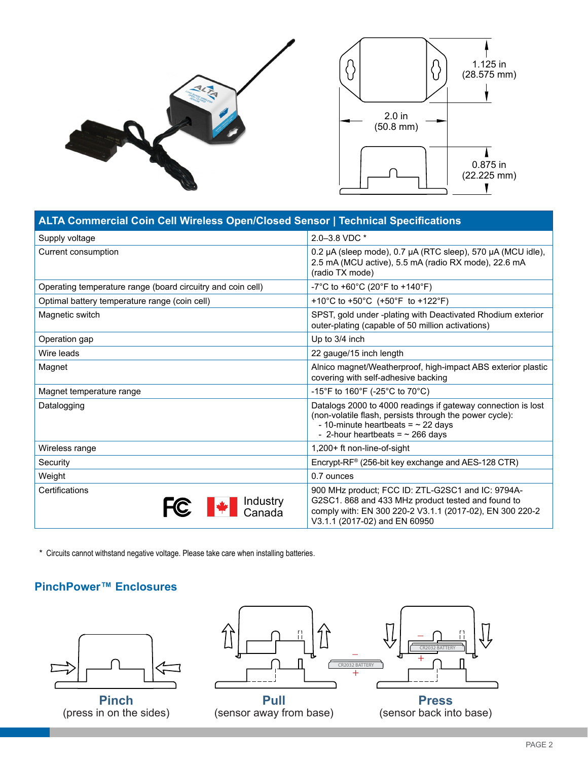

| <b>ALTA Commercial Coin Cell Wireless Open/Closed Sensor   Technical Specifications</b> |                                                                                                                                                                                                             |  |
|-----------------------------------------------------------------------------------------|-------------------------------------------------------------------------------------------------------------------------------------------------------------------------------------------------------------|--|
| Supply voltage                                                                          | 2.0-3.8 VDC *                                                                                                                                                                                               |  |
| Current consumption                                                                     | 0.2 µA (sleep mode), 0.7 µA (RTC sleep), 570 µA (MCU idle),<br>2.5 mA (MCU active), 5.5 mA (radio RX mode), 22.6 mA<br>(radio TX mode)                                                                      |  |
| Operating temperature range (board circuitry and coin cell)                             | -7°C to +60°C (20°F to +140°F)                                                                                                                                                                              |  |
| Optimal battery temperature range (coin cell)                                           | +10°C to +50°C (+50°F to +122°F)                                                                                                                                                                            |  |
| Magnetic switch                                                                         | SPST, gold under -plating with Deactivated Rhodium exterior<br>outer-plating (capable of 50 million activations)                                                                                            |  |
| Operation gap                                                                           | Up to 3/4 inch                                                                                                                                                                                              |  |
| Wire leads                                                                              | 22 gauge/15 inch length                                                                                                                                                                                     |  |
| Magnet                                                                                  | Alnico magnet/Weatherproof, high-impact ABS exterior plastic<br>covering with self-adhesive backing                                                                                                         |  |
| Magnet temperature range                                                                | -15°F to 160°F (-25°C to 70°C)                                                                                                                                                                              |  |
| Datalogging                                                                             | Datalogs 2000 to 4000 readings if gateway connection is lost<br>(non-volatile flash, persists through the power cycle):<br>- 10-minute heartbeats = $\sim$ 22 days<br>- 2-hour heartbeats = $\sim$ 266 days |  |
| Wireless range                                                                          | 1,200+ ft non-line-of-sight                                                                                                                                                                                 |  |
| Security                                                                                | Encrypt-RF® (256-bit key exchange and AES-128 CTR)                                                                                                                                                          |  |
| Weight                                                                                  | 0.7 ounces                                                                                                                                                                                                  |  |
| Certifications<br>Industry<br>Canada                                                    | 900 MHz product; FCC ID: ZTL-G2SC1 and IC: 9794A-<br>G2SC1. 868 and 433 MHz product tested and found to<br>comply with: EN 300 220-2 V3.1.1 (2017-02), EN 300 220-2<br>V3.1.1 (2017-02) and EN 60950        |  |

\* Circuits cannot withstand negative voltage. Please take care when installing batteries.

### **PinchPower™ Enclosures**



**Pinch** (press in on the sides)



(sensor away from base)

(sensor back into base)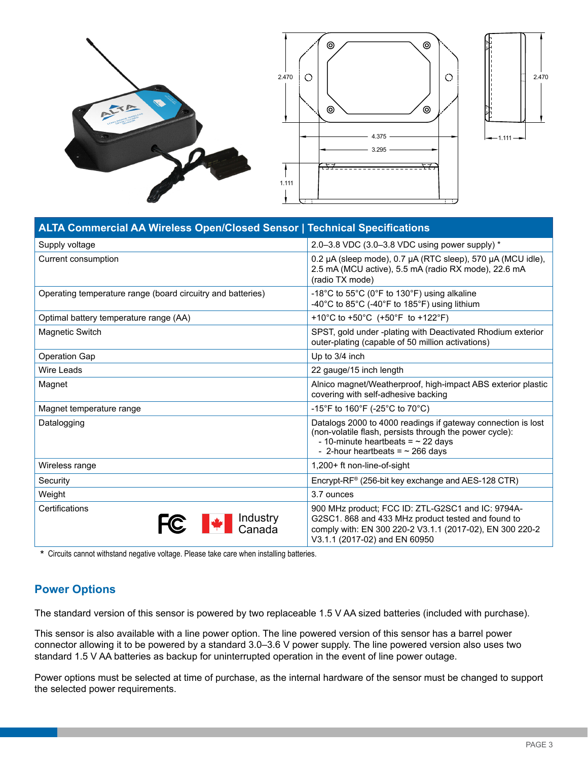





| <b>ALTA Commercial AA Wireless Open/Closed Sensor   Technical Specifications</b> |                                                                                                                                                                                                             |  |
|----------------------------------------------------------------------------------|-------------------------------------------------------------------------------------------------------------------------------------------------------------------------------------------------------------|--|
| Supply voltage                                                                   | 2.0-3.8 VDC (3.0-3.8 VDC using power supply) *                                                                                                                                                              |  |
| Current consumption                                                              | 0.2 µA (sleep mode), 0.7 µA (RTC sleep), 570 µA (MCU idle),<br>2.5 mA (MCU active), 5.5 mA (radio RX mode), 22.6 mA<br>(radio TX mode)                                                                      |  |
| Operating temperature range (board circuitry and batteries)                      | -18°C to 55°C (0°F to 130°F) using alkaline<br>-40°C to 85°C (-40°F to 185°F) using lithium                                                                                                                 |  |
| Optimal battery temperature range (AA)                                           | +10°C to +50°C (+50°F to +122°F)                                                                                                                                                                            |  |
| <b>Magnetic Switch</b>                                                           | SPST, gold under -plating with Deactivated Rhodium exterior<br>outer-plating (capable of 50 million activations)                                                                                            |  |
| <b>Operation Gap</b>                                                             | Up to 3/4 inch                                                                                                                                                                                              |  |
| Wire Leads                                                                       | 22 gauge/15 inch length                                                                                                                                                                                     |  |
| Magnet                                                                           | Alnico magnet/Weatherproof, high-impact ABS exterior plastic<br>covering with self-adhesive backing                                                                                                         |  |
| Magnet temperature range                                                         | -15°F to 160°F (-25°C to 70°C)                                                                                                                                                                              |  |
| Datalogging                                                                      | Datalogs 2000 to 4000 readings if gateway connection is lost<br>(non-volatile flash, persists through the power cycle):<br>- 10-minute heartbeats = $\sim$ 22 days<br>- 2-hour heartbeats = $\sim$ 266 days |  |
| Wireless range                                                                   | 1,200+ ft non-line-of-sight                                                                                                                                                                                 |  |
| Security                                                                         | Encrypt-RF® (256-bit key exchange and AES-128 CTR)                                                                                                                                                          |  |
| Weight                                                                           | 3.7 ounces                                                                                                                                                                                                  |  |
| Certifications<br>Industry<br>Canada                                             | 900 MHz product; FCC ID: ZTL-G2SC1 and IC: 9794A-<br>G2SC1. 868 and 433 MHz product tested and found to<br>comply with: EN 300 220-2 V3.1.1 (2017-02), EN 300 220-2<br>V3.1.1 (2017-02) and EN 60950        |  |

\* Circuits cannot withstand negative voltage. Please take care when installing batteries.

### **Power Options**

The standard version of this sensor is powered by two replaceable 1.5 V AA sized batteries (included with purchase).

This sensor is also available with a line power option. The line powered version of this sensor has a barrel power connector allowing it to be powered by a standard 3.0–3.6 V power supply. The line powered version also uses two standard 1.5 V AA batteries as backup for uninterrupted operation in the event of line power outage.

Power options must be selected at time of purchase, as the internal hardware of the sensor must be changed to support the selected power requirements.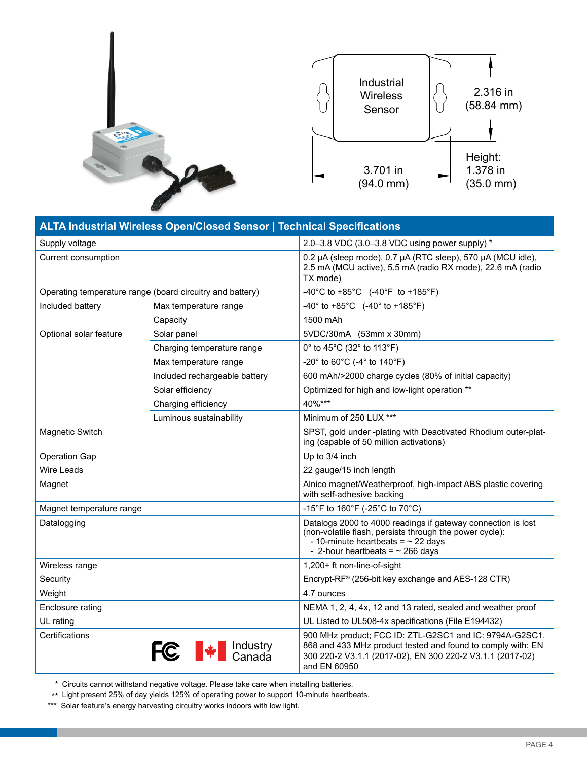



| <b>ALTA Industrial Wireless Open/Closed Sensor   Technical Specifications</b> |                                 |                                                                                                                                                                                                             |  |
|-------------------------------------------------------------------------------|---------------------------------|-------------------------------------------------------------------------------------------------------------------------------------------------------------------------------------------------------------|--|
| Supply voltage                                                                |                                 | 2.0-3.8 VDC (3.0-3.8 VDC using power supply) *                                                                                                                                                              |  |
| Current consumption                                                           |                                 | 0.2 µA (sleep mode), 0.7 µA (RTC sleep), 570 µA (MCU idle),<br>2.5 mA (MCU active), 5.5 mA (radio RX mode), 22.6 mA (radio<br>TX mode)                                                                      |  |
| Operating temperature range (board circuitry and battery)                     |                                 | -40°C to +85°C $(-40°F$ to +185°F)                                                                                                                                                                          |  |
| Included battery                                                              | Max temperature range           | -40° to +85°C $(-40°$ to +185°F)                                                                                                                                                                            |  |
|                                                                               | Capacity                        | 1500 mAh                                                                                                                                                                                                    |  |
| Optional solar feature                                                        | Solar panel                     | 5VDC/30mA (53mm x 30mm)                                                                                                                                                                                     |  |
|                                                                               | Charging temperature range      | 0° to 45°C (32° to 113°F)                                                                                                                                                                                   |  |
|                                                                               | Max temperature range           | -20° to 60°C (-4° to 140°F)                                                                                                                                                                                 |  |
|                                                                               | Included rechargeable battery   | 600 mAh/>2000 charge cycles (80% of initial capacity)                                                                                                                                                       |  |
|                                                                               | Solar efficiency                | Optimized for high and low-light operation **                                                                                                                                                               |  |
|                                                                               | Charging efficiency             | 40%***                                                                                                                                                                                                      |  |
|                                                                               | Luminous sustainability         | Minimum of 250 LUX ***                                                                                                                                                                                      |  |
| <b>Magnetic Switch</b>                                                        |                                 | SPST, gold under -plating with Deactivated Rhodium outer-plat-<br>ing (capable of 50 million activations)                                                                                                   |  |
| <b>Operation Gap</b>                                                          |                                 | Up to 3/4 inch                                                                                                                                                                                              |  |
| <b>Wire Leads</b>                                                             |                                 | 22 gauge/15 inch length                                                                                                                                                                                     |  |
| Magnet                                                                        |                                 | Alnico magnet/Weatherproof, high-impact ABS plastic covering<br>with self-adhesive backing                                                                                                                  |  |
| Magnet temperature range                                                      |                                 | -15°F to 160°F (-25°C to 70°C)                                                                                                                                                                              |  |
| Datalogging                                                                   |                                 | Datalogs 2000 to 4000 readings if gateway connection is lost<br>(non-volatile flash, persists through the power cycle):<br>- 10-minute heartbeats = $\sim$ 22 days<br>- 2-hour heartbeats = $\sim$ 266 days |  |
| Wireless range                                                                |                                 | 1,200+ ft non-line-of-sight                                                                                                                                                                                 |  |
| Security                                                                      |                                 | Encrypt-RF® (256-bit key exchange and AES-128 CTR)                                                                                                                                                          |  |
| Weight                                                                        |                                 | 4.7 ounces                                                                                                                                                                                                  |  |
| Enclosure rating                                                              |                                 | NEMA 1, 2, 4, 4x, 12 and 13 rated, sealed and weather proof                                                                                                                                                 |  |
| UL rating                                                                     |                                 | UL Listed to UL508-4x specifications (File E194432)                                                                                                                                                         |  |
| Certifications                                                                | █ Industry<br>█ Canada<br>FC 1* | 900 MHz product; FCC ID: ZTL-G2SC1 and IC: 9794A-G2SC1.<br>868 and 433 MHz product tested and found to comply with: EN<br>300 220-2 V3.1.1 (2017-02), EN 300 220-2 V3.1.1 (2017-02)<br>and EN 60950         |  |

\* Circuits cannot withstand negative voltage. Please take care when installing batteries.

\*\* Light present 25% of day yields 125% of operating power to support 10-minute heartbeats.

\*\*\* Solar feature's energy harvesting circuitry works indoors with low light.